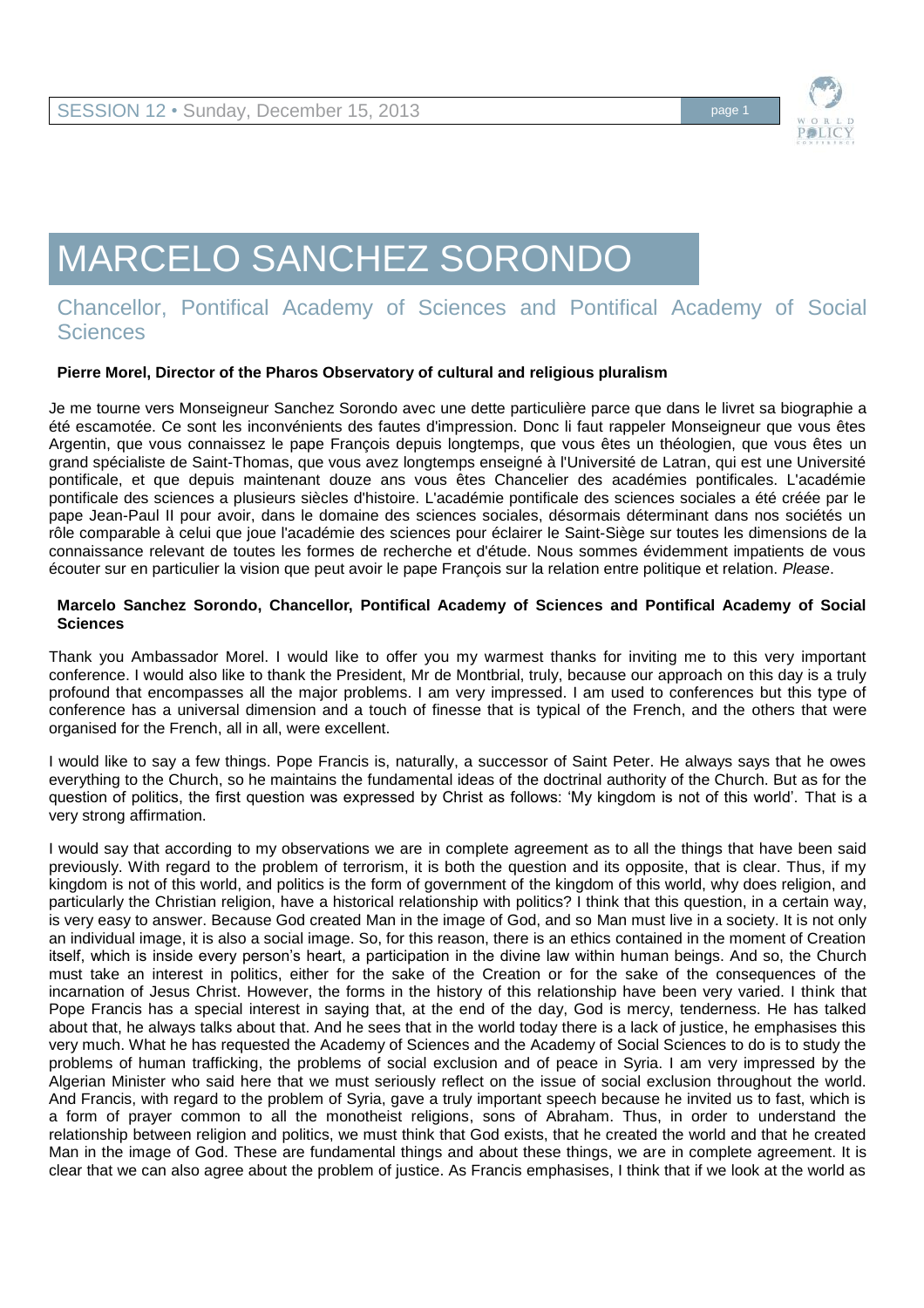

# MARCELO SANCHEZ SORONDO

# Chancellor, Pontifical Academy of Sciences and Pontifical Academy of Social **Sciences**

## **Pierre Morel, Director of the Pharos Observatory of cultural and religious pluralism**

Je me tourne vers Monseigneur Sanchez Sorondo avec une dette particulière parce que dans le livret sa biographie a été escamotée. Ce sont les inconvénients des fautes d'impression. Donc li faut rappeler Monseigneur que vous êtes Argentin, que vous connaissez le pape François depuis longtemps, que vous êtes un théologien, que vous êtes un grand spécialiste de Saint-Thomas, que vous avez longtemps enseigné à l'Université de Latran, qui est une Université pontificale, et que depuis maintenant douze ans vous êtes Chancelier des académies pontificales. L'académie pontificale des sciences a plusieurs siècles d'histoire. L'académie pontificale des sciences sociales a été créée par le pape Jean-Paul II pour avoir, dans le domaine des sciences sociales, désormais déterminant dans nos sociétés un rôle comparable à celui que joue l'académie des sciences pour éclairer le Saint-Siège sur toutes les dimensions de la connaissance relevant de toutes les formes de recherche et d'étude. Nous sommes évidemment impatients de vous écouter sur en particulier la vision que peut avoir le pape François sur la relation entre politique et relation. *Please*.

#### **Marcelo Sanchez Sorondo, Chancellor, Pontifical Academy of Sciences and Pontifical Academy of Social Sciences**

Thank you Ambassador Morel. I would like to offer you my warmest thanks for inviting me to this very important conference. I would also like to thank the President, Mr de Montbrial, truly, because our approach on this day is a truly profound that encompasses all the major problems. I am very impressed. I am used to conferences but this type of conference has a universal dimension and a touch of finesse that is typical of the French, and the others that were organised for the French, all in all, were excellent.

I would like to say a few things. Pope Francis is, naturally, a successor of Saint Peter. He always says that he owes everything to the Church, so he maintains the fundamental ideas of the doctrinal authority of the Church. But as for the question of politics, the first question was expressed by Christ as follows: 'My kingdom is not of this world'. That is a very strong affirmation.

I would say that according to my observations we are in complete agreement as to all the things that have been said previously. With regard to the problem of terrorism, it is both the question and its opposite, that is clear. Thus, if my kingdom is not of this world, and politics is the form of government of the kingdom of this world, why does religion, and particularly the Christian religion, have a historical relationship with politics? I think that this question, in a certain way, is very easy to answer. Because God created Man in the image of God, and so Man must live in a society. It is not only an individual image, it is also a social image. So, for this reason, there is an ethics contained in the moment of Creation itself, which is inside every person's heart, a participation in the divine law within human beings. And so, the Church must take an interest in politics, either for the sake of the Creation or for the sake of the consequences of the incarnation of Jesus Christ. However, the forms in the history of this relationship have been very varied. I think that Pope Francis has a special interest in saying that, at the end of the day, God is mercy, tenderness. He has talked about that, he always talks about that. And he sees that in the world today there is a lack of justice, he emphasises this very much. What he has requested the Academy of Sciences and the Academy of Social Sciences to do is to study the problems of human trafficking, the problems of social exclusion and of peace in Syria. I am very impressed by the Algerian Minister who said here that we must seriously reflect on the issue of social exclusion throughout the world. And Francis, with regard to the problem of Syria, gave a truly important speech because he invited us to fast, which is a form of prayer common to all the monotheist religions, sons of Abraham. Thus, in order to understand the relationship between religion and politics, we must think that God exists, that he created the world and that he created Man in the image of God. These are fundamental things and about these things, we are in complete agreement. It is clear that we can also agree about the problem of justice. As Francis emphasises, I think that if we look at the world as